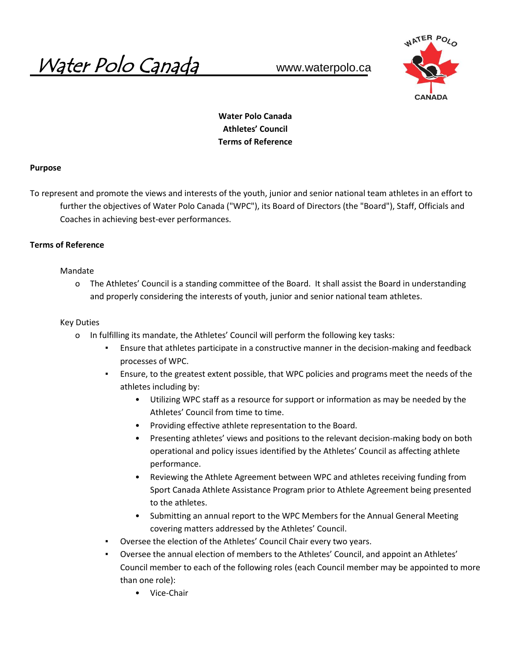Water Polo Canada www.waterpolo.ca



# **Water Polo Canada Athletes' Council Terms of Reference**

### **Purpose**

֚֚֡֘

To represent and promote the views and interests of the youth, junior and senior national team athletes in an effort to further the objectives of Water Polo Canada ("WPC"), its Board of Directors (the "Board"), Staff, Officials and Coaches in achieving best-ever performances.

### **Terms of Reference**

### Mandate

o The Athletes' Council is a standing committee of the Board. It shall assist the Board in understanding and properly considering the interests of youth, junior and senior national team athletes.

### Key Duties

- o In fulfilling its mandate, the Athletes' Council will perform the following key tasks:
	- Ensure that athletes participate in a constructive manner in the decision-making and feedback processes of WPC.
	- Ensure, to the greatest extent possible, that WPC policies and programs meet the needs of the athletes including by:
		- Utilizing WPC staff as a resource for support or information as may be needed by the Athletes' Council from time to time.
		- Providing effective athlete representation to the Board.
		- Presenting athletes' views and positions to the relevant decision-making body on both operational and policy issues identified by the Athletes' Council as affecting athlete performance.
		- Reviewing the Athlete Agreement between WPC and athletes receiving funding from Sport Canada Athlete Assistance Program prior to Athlete Agreement being presented to the athletes.
		- Submitting an annual report to the WPC Members for the Annual General Meeting covering matters addressed by the Athletes' Council.
	- Oversee the election of the Athletes' Council Chair every two years.
	- Oversee the annual election of members to the Athletes' Council, and appoint an Athletes' Council member to each of the following roles (each Council member may be appointed to more than one role):
		- Vice-Chair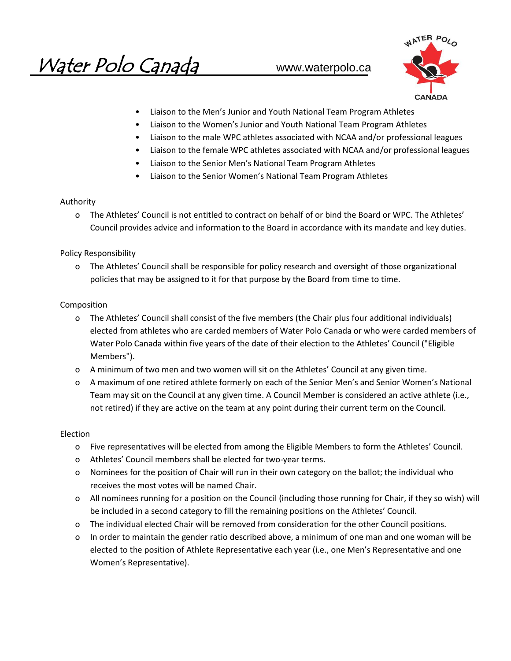Water Polo Canada www.waterpolo.ca



- Liaison to the Men's Junior and Youth National Team Program Athletes
- Liaison to the Women's Junior and Youth National Team Program Athletes
- Liaison to the male WPC athletes associated with NCAA and/or professional leagues
- Liaison to the female WPC athletes associated with NCAA and/or professional leagues
- Liaison to the Senior Men's National Team Program Athletes
- Liaison to the Senior Women's National Team Program Athletes

## Authority

o The Athletes' Council is not entitled to contract on behalf of or bind the Board or WPC. The Athletes' Council provides advice and information to the Board in accordance with its mandate and key duties.

Policy Responsibility

o The Athletes' Council shall be responsible for policy research and oversight of those organizational policies that may be assigned to it for that purpose by the Board from time to time.

## Composition

- o The Athletes' Council shall consist of the five members (the Chair plus four additional individuals) elected from athletes who are carded members of Water Polo Canada or who were carded members of Water Polo Canada within five years of the date of their election to the Athletes' Council ("Eligible Members").
- o A minimum of two men and two women will sit on the Athletes' Council at any given time.
- o A maximum of one retired athlete formerly on each of the Senior Men's and Senior Women's National Team may sit on the Council at any given time. A Council Member is considered an active athlete (i.e., not retired) if they are active on the team at any point during their current term on the Council.

### Election

- o Five representatives will be elected from among the Eligible Members to form the Athletes' Council.
- o Athletes' Council members shall be elected for two-year terms.
- o Nominees for the position of Chair will run in their own category on the ballot; the individual who receives the most votes will be named Chair.
- o All nominees running for a position on the Council (including those running for Chair, if they so wish) will be included in a second category to fill the remaining positions on the Athletes' Council.
- o The individual elected Chair will be removed from consideration for the other Council positions.
- o In order to maintain the gender ratio described above, a minimum of one man and one woman will be elected to the position of Athlete Representative each year (i.e., one Men's Representative and one Women's Representative).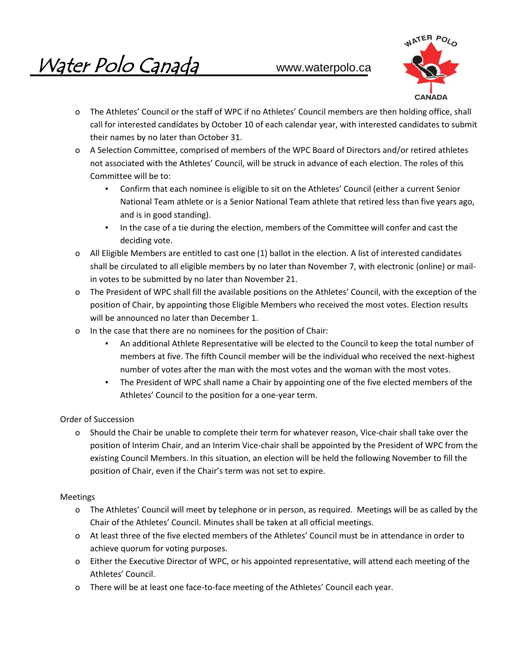

- o The Athletes' Council or the staff of WPC if no Athletes' Council members are then holding office, shall call for interested candidates by October 10 of each calendar year, with interested candidates to submit their names by no later than October 31.
- o A Selection Committee, comprised of members of the WPC Board of Directors and/or retired athletes not associated with the Athletes' Council, will be struck in advance of each election. The roles of this Committee will be to:
	- Confirm that each nominee is eligible to sit on the Athletes' Council (either a current Senior National Team athlete or is a Senior National Team athlete that retired less than five years ago, and is in good standing).
	- In the case of a tie during the election, members of the Committee will confer and cast the deciding vote.
- o All Eligible Members are entitled to cast one (1) ballot in the election. A list of interested candidates shall be circulated to all eligible members by no later than November 7, with electronic (online) or mailin votes to be submitted by no later than November 21.
- o The President of WPC shall fill the available positions on the Athletes' Council, with the exception of the position of Chair, by appointing those Eligible Members who received the most votes. Election results will be announced no later than December 1.
- o In the case that there are no nominees for the position of Chair:
	- An additional Athlete Representative will be elected to the Council to keep the total number of members at five. The fifth Council member will be the individual who received the next-highest number of votes after the man with the most votes and the woman with the most votes.
	- The President of WPC shall name a Chair by appointing one of the five elected members of the Athletes' Council to the position for a one-year term.

# Order of Succession

o Should the Chair be unable to complete their term for whatever reason, Vice-chair shall take over the position of Interim Chair, and an Interim Vice-chair shall be appointed by the President of WPC from the existing Council Members. In this situation, an election will be held the following November to fill the position of Chair, even if the Chair's term was not set to expire.

## Meetings

- o The Athletes' Council will meet by telephone or in person, as required. Meetings will be as called by the Chair of the Athletes' Council. Minutes shall be taken at all official meetings.
- o At least three of the five elected members of the Athletes' Council must be in attendance in order to achieve quorum for voting purposes.
- o Either the Executive Director of WPC, or his appointed representative, will attend each meeting of the Athletes' Council.
- o There will be at least one face-to-face meeting of the Athletes' Council each year.